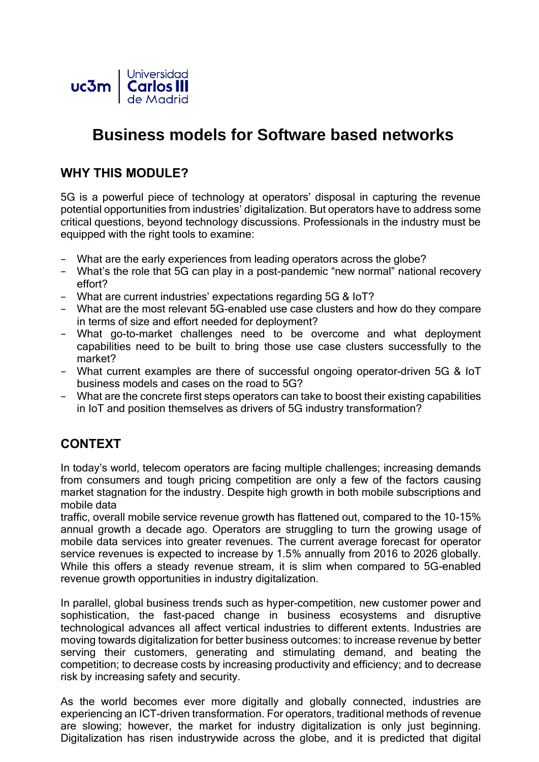

# **Business models for Software based networks**

# **WHY THIS MODULE?**

5G is a powerful piece of technology at operators' disposal in capturing the revenue potential opportunities from industries' digitalization. But operators have to address some critical questions, beyond technology discussions. Professionals in the industry must be equipped with the right tools to examine:

- − What are the early experiences from leading operators across the globe?
- − What's the role that 5G can play in a post-pandemic "new normal" national recovery effort?
- − What are current industries' expectations regarding 5G & IoT?
- − What are the most relevant 5G-enabled use case clusters and how do they compare in terms of size and effort needed for deployment?
- − What go-to-market challenges need to be overcome and what deployment capabilities need to be built to bring those use case clusters successfully to the market?
- − What current examples are there of successful ongoing operator-driven 5G & IoT business models and cases on the road to 5G?
- − What are the concrete first steps operators can take to boost their existing capabilities in IoT and position themselves as drivers of 5G industry transformation?

# **CONTEXT**

In today's world, telecom operators are facing multiple challenges; increasing demands from consumers and tough pricing competition are only a few of the factors causing market stagnation for the industry. Despite high growth in both mobile subscriptions and mobile data

traffic, overall mobile service revenue growth has flattened out, compared to the 10-15% annual growth a decade ago. Operators are struggling to turn the growing usage of mobile data services into greater revenues. The current average forecast for operator service revenues is expected to increase by 1.5% annually from 2016 to 2026 globally. While this offers a steady revenue stream, it is slim when compared to 5G-enabled revenue growth opportunities in industry digitalization.

In parallel, global business trends such as hyper-competition, new customer power and sophistication, the fast-paced change in business ecosystems and disruptive technological advances all affect vertical industries to different extents. Industries are moving towards digitalization for better business outcomes: to increase revenue by better serving their customers, generating and stimulating demand, and beating the competition; to decrease costs by increasing productivity and efficiency; and to decrease risk by increasing safety and security.

As the world becomes ever more digitally and globally connected, industries are experiencing an ICT-driven transformation. For operators, traditional methods of revenue are slowing; however, the market for industry digitalization is only just beginning. Digitalization has risen industrywide across the globe, and it is predicted that digital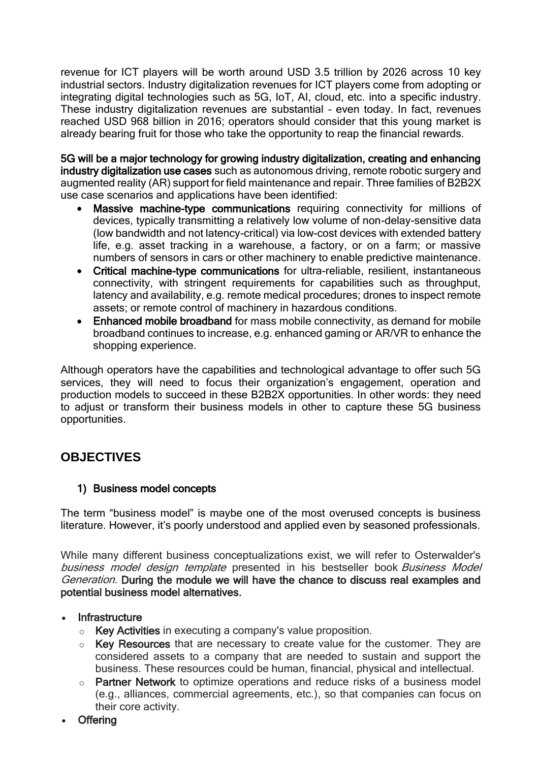revenue for ICT players will be worth around USD 3.5 trillion by 2026 across 10 key industrial sectors. Industry digitalization revenues for ICT players come from adopting or integrating digital technologies such as 5G, IoT, AI, cloud, etc. into a specific industry. These industry digitalization revenues are substantial – even today. In fact, revenues reached USD 968 billion in 2016; operators should consider that this young market is already bearing fruit for those who take the opportunity to reap the financial rewards.

5G will be a major technology for growing industry digitalization, creating and enhancing industry digitalization use cases such as autonomous driving, remote robotic surgery and augmented reality (AR) support for field maintenance and repair. Three families of B2B2X use case scenarios and applications have been identified:

- Massive machine-type communications requiring connectivity for millions of devices, typically transmitting a relatively low volume of non-delay-sensitive data (low bandwidth and not latency-critical) via low-cost devices with extended battery life, e.g. asset tracking in a warehouse, a factory, or on a farm; or massive numbers of sensors in cars or other machinery to enable predictive maintenance.
- Critical machine-type communications for ultra-reliable, resilient, instantaneous connectivity, with stringent requirements for capabilities such as throughput, latency and availability, e.g. remote medical procedures; drones to inspect remote assets; or remote control of machinery in hazardous conditions.
- Enhanced mobile broadband for mass mobile connectivity, as demand for mobile broadband continues to increase, e.g. enhanced gaming or AR/VR to enhance the shopping experience.

Although operators have the capabilities and technological advantage to offer such 5G services, they will need to focus their organization's engagement, operation and production models to succeed in these B2B2X opportunities. In other words: they need to adjust or transform their business models in other to capture these 5G business opportunities.

# **OBJECTIVES**

## 1) Business model concepts

The term "business model" is maybe one of the most overused concepts is business literature. However, it's poorly understood and applied even by seasoned professionals.

While many different business conceptualizations exist, we will refer to Osterwalder's business model design template presented in his bestseller book Business Model Generation. During the module we will have the chance to discuss real examples and potential business model alternatives.

#### **Infrastructure**

- o Key Activities in executing a company's value proposition.
- $\circ$  Key Resources that are necessary to create value for the customer. They are considered assets to a company that are needed to sustain and support the business. These resources could be human, financial, physical and intellectual.
- o Partner Network to optimize operations and reduce risks of a business model (e.g., alliances, commercial agreements, etc.), so that companies can focus on their core activity.
- Offering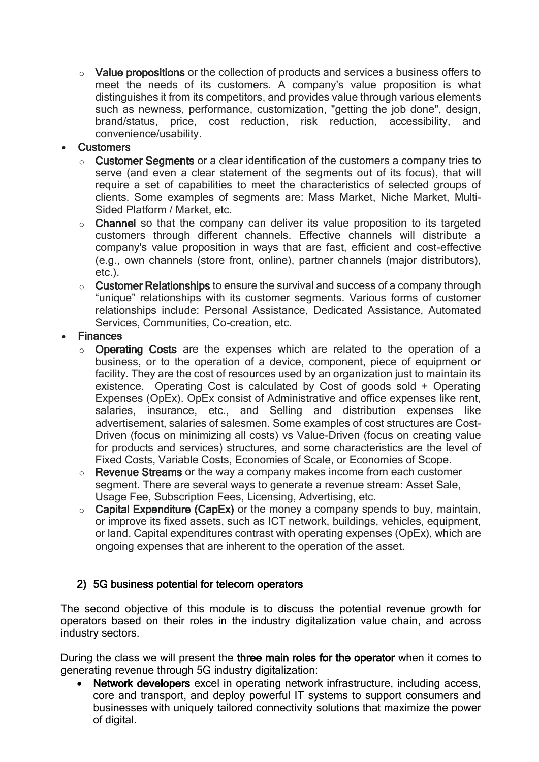o Value propositions or the collection of products and services a business offers to meet the needs of its customers. A company's value proposition is what distinguishes it from its competitors, and provides value through various elements such as newness, performance, customization, "getting the job done", design, brand/status, price, cost reduction, risk reduction, accessibility, and convenience/usability.

#### **Customers**

- $\circ$  Customer Segments or a clear identification of the customers a company tries to serve (and even a clear statement of the segments out of its focus), that will require a set of capabilities to meet the characteristics of selected groups of clients. Some examples of segments are: Mass Market, Niche Market, Multi-Sided Platform / Market, etc.
- $\circ$  Channel so that the company can deliver its value proposition to its targeted customers through different channels. Effective channels will distribute a company's value proposition in ways that are fast, efficient and cost-effective (e.g., own channels (store front, online), partner channels (major distributors), etc.).
- $\circ$  Customer Relationships to ensure the survival and success of a company through "unique" relationships with its customer segments. Various forms of customer relationships include: Personal Assistance, Dedicated Assistance, Automated Services, Communities, Co-creation, etc.

## **Finances**

- o Operating Costs are the expenses which are related to the operation of a business, or to the operation of a device, component, piece of equipment or facility. They are the cost of resources used by an organization just to maintain its existence. Operating Cost is calculated by Cost of goods sold + Operating Expenses (OpEx). OpEx consist of Administrative and office expenses like rent, salaries, insurance, etc., and Selling and distribution expenses like advertisement, salaries of salesmen. Some examples of cost structures are Cost-Driven (focus on minimizing all costs) vs Value-Driven (focus on creating value for products and services) structures, and some characteristics are the level of Fixed Costs, Variable Costs, Economies of Scale, or Economies of Scope.
- $\circ$  Revenue Streams or the way a company makes income from each customer segment. There are several ways to generate a revenue stream: Asset Sale, Usage Fee, Subscription Fees, Licensing, Advertising, etc.
- $\circ$  Capital Expenditure (CapEx) or the money a company spends to buy, maintain, or improve its fixed assets, such as ICT network, buildings, vehicles, equipment, or land. Capital expenditures contrast with operating expenses (OpEx), which are ongoing expenses that are inherent to the operation of the asset.

## 2) 5G business potential for telecom operators

The second objective of this module is to discuss the potential revenue growth for operators based on their roles in the industry digitalization value chain, and across industry sectors.

During the class we will present the three main roles for the operator when it comes to generating revenue through 5G industry digitalization:

Network developers excel in operating network infrastructure, including access, core and transport, and deploy powerful IT systems to support consumers and businesses with uniquely tailored connectivity solutions that maximize the power of digital.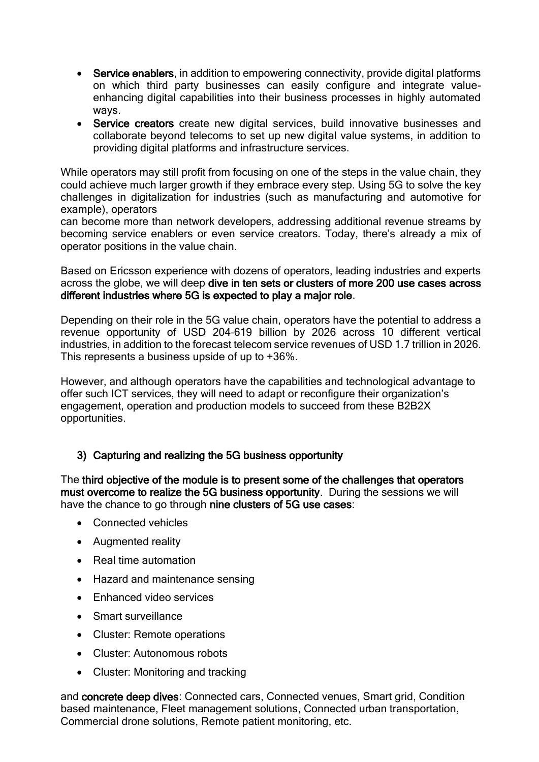- Service enablers, in addition to empowering connectivity, provide digital platforms on which third party businesses can easily configure and integrate valueenhancing digital capabilities into their business processes in highly automated ways.
- Service creators create new digital services, build innovative businesses and collaborate beyond telecoms to set up new digital value systems, in addition to providing digital platforms and infrastructure services.

While operators may still profit from focusing on one of the steps in the value chain, they could achieve much larger growth if they embrace every step. Using 5G to solve the key challenges in digitalization for industries (such as manufacturing and automotive for example), operators

can become more than network developers, addressing additional revenue streams by becoming service enablers or even service creators. Today, there's already a mix of operator positions in the value chain.

Based on Ericsson experience with dozens of operators, leading industries and experts across the globe, we will deep dive in ten sets or clusters of more 200 use cases across different industries where 5G is expected to play a major role.

Depending on their role in the 5G value chain, operators have the potential to address a revenue opportunity of USD 204–619 billion by 2026 across 10 different vertical industries, in addition to the forecast telecom service revenues of USD 1.7 trillion in 2026. This represents a business upside of up to +36%.

However, and although operators have the capabilities and technological advantage to offer such ICT services, they will need to adapt or reconfigure their organization's engagement, operation and production models to succeed from these B2B2X opportunities.

#### 3) Capturing and realizing the 5G business opportunity

The third objective of the module is to present some of the challenges that operators must overcome to realize the 5G business opportunity. During the sessions we will have the chance to go through nine clusters of 5G use cases:

- Connected vehicles
- Augmented reality
- Real time automation
- Hazard and maintenance sensing
- Enhanced video services
- Smart surveillance
- Cluster: Remote operations
- Cluster: Autonomous robots
- Cluster: Monitoring and tracking

and concrete deep dives: Connected cars, Connected venues, Smart grid, Condition based maintenance, Fleet management solutions, Connected urban transportation, Commercial drone solutions, Remote patient monitoring, etc.